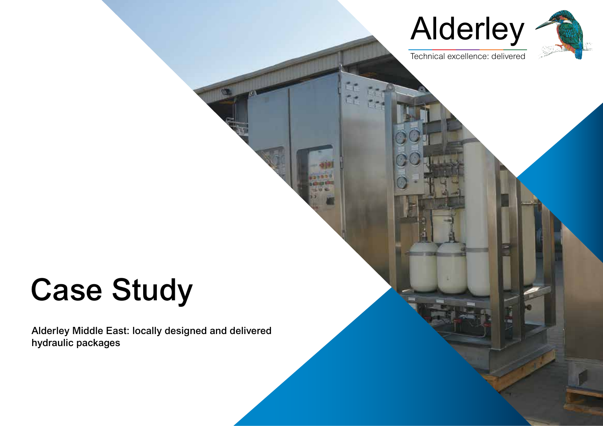



Technical excellence: delivered

# Case Study

Alderley Middle East: locally designed and delivered hydraulic packages